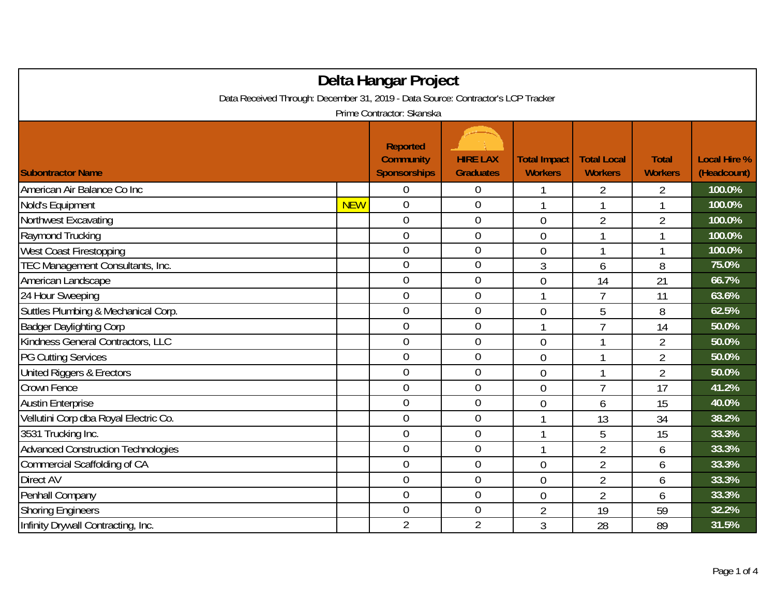| Delta Hangar Project                                                             |            |                                                            |                                     |                                       |                                      |                                |                                    |  |
|----------------------------------------------------------------------------------|------------|------------------------------------------------------------|-------------------------------------|---------------------------------------|--------------------------------------|--------------------------------|------------------------------------|--|
| Data Received Through: December 31, 2019 - Data Source: Contractor's LCP Tracker |            |                                                            |                                     |                                       |                                      |                                |                                    |  |
| Prime Contractor: Skanska                                                        |            |                                                            |                                     |                                       |                                      |                                |                                    |  |
| <b>Subontractor Name</b>                                                         |            | <b>Reported</b><br><b>Community</b><br><b>Sponsorships</b> | <b>HIRE LAX</b><br><b>Graduates</b> | <b>Total Impact</b><br><b>Workers</b> | <b>Total Local</b><br><b>Workers</b> | <b>Total</b><br><b>Workers</b> | <b>Local Hire %</b><br>(Headcount) |  |
| American Air Balance Co Inc                                                      |            | $\overline{0}$                                             | $\boldsymbol{0}$                    |                                       | $\overline{2}$                       | $\overline{2}$                 | 100.0%                             |  |
| Nold's Equipment                                                                 | <b>NEW</b> | $\mathbf 0$                                                | $\boldsymbol{0}$                    | 1                                     |                                      | 1                              | 100.0%                             |  |
| Northwest Excavating                                                             |            | $\mathbf 0$                                                | $\mathbf{0}$                        | $\overline{0}$                        | $\overline{2}$                       | $\overline{2}$                 | 100.0%                             |  |
| Raymond Trucking                                                                 |            | $\overline{0}$                                             | $\mathbf 0$                         | 0                                     | 1                                    | 1                              | 100.0%                             |  |
| West Coast Firestopping                                                          |            | 0                                                          | $\mathbf 0$                         | $\overline{0}$                        |                                      |                                | 100.0%                             |  |
| TEC Management Consultants, Inc.                                                 |            | $\overline{0}$                                             | $\overline{0}$                      | 3                                     | 6                                    | 8                              | 75.0%                              |  |
| American Landscape                                                               |            | $\overline{0}$                                             | $\mathbf 0$                         | $\overline{0}$                        | 14                                   | 21                             | 66.7%                              |  |
| 24 Hour Sweeping                                                                 |            | $\mathbf 0$                                                | $\mathbf{0}$                        | 1                                     | $\overline{1}$                       | 11                             | 63.6%                              |  |
| Suttles Plumbing & Mechanical Corp.                                              |            | $\overline{0}$                                             | $\boldsymbol{0}$                    | $\overline{0}$                        | 5                                    | 8                              | 62.5%                              |  |
| <b>Badger Daylighting Corp</b>                                                   |            | $\mathbf 0$                                                | $\mathbf{0}$                        | 1                                     | 7                                    | 14                             | 50.0%                              |  |
| Kindness General Contractors, LLC                                                |            | $\overline{0}$                                             | $\boldsymbol{0}$                    | $\overline{0}$                        | 1                                    | $\overline{2}$                 | 50.0%                              |  |
| <b>PG Cutting Services</b>                                                       |            | $\overline{0}$                                             | $\mathbf 0$                         | 0                                     | 1                                    | $\overline{2}$                 | 50.0%                              |  |
| United Riggers & Erectors                                                        |            | $\overline{0}$                                             | $\overline{0}$                      | $\overline{0}$                        | 1                                    | $\overline{2}$                 | 50.0%                              |  |
| Crown Fence                                                                      |            | 0                                                          | $\theta$                            | 0                                     | $\overline{7}$                       | 17                             | 41.2%                              |  |
| <b>Austin Enterprise</b>                                                         |            | $\overline{0}$                                             | $\overline{0}$                      | $\overline{0}$                        | 6                                    | 15                             | 40.0%                              |  |
| Vellutini Corp dba Royal Electric Co.                                            |            | $\overline{0}$                                             | $\mathbf 0$                         | 1                                     | 13                                   | 34                             | 38.2%                              |  |
| 3531 Trucking Inc.                                                               |            | $\overline{0}$                                             | $\mathbf 0$                         | 1                                     | 5                                    | 15                             | 33.3%                              |  |
| <b>Advanced Construction Technologies</b>                                        |            | $\overline{0}$                                             | $\mathbf 0$                         | 1                                     | $\overline{2}$                       | 6                              | 33.3%                              |  |
| Commercial Scaffolding of CA                                                     |            | $\overline{0}$                                             | $\theta$                            | $\overline{0}$                        | $\overline{2}$                       | 6                              | 33.3%                              |  |
| Direct AV                                                                        |            | $\overline{0}$                                             | $\boldsymbol{0}$                    | 0                                     | 2                                    | 6                              | 33.3%                              |  |
| Penhall Company                                                                  |            | $\overline{0}$                                             | $\mathbf 0$                         | 0                                     | $\overline{2}$                       | 6                              | 33.3%                              |  |
| <b>Shoring Engineers</b>                                                         |            | $\overline{0}$                                             | $\mathbf 0$                         | $\overline{2}$                        | 19                                   | 59                             | 32.2%                              |  |
| Infinity Drywall Contracting, Inc.                                               |            | $\overline{2}$                                             | $\overline{2}$                      | 3                                     | 28                                   | 89                             | 31.5%                              |  |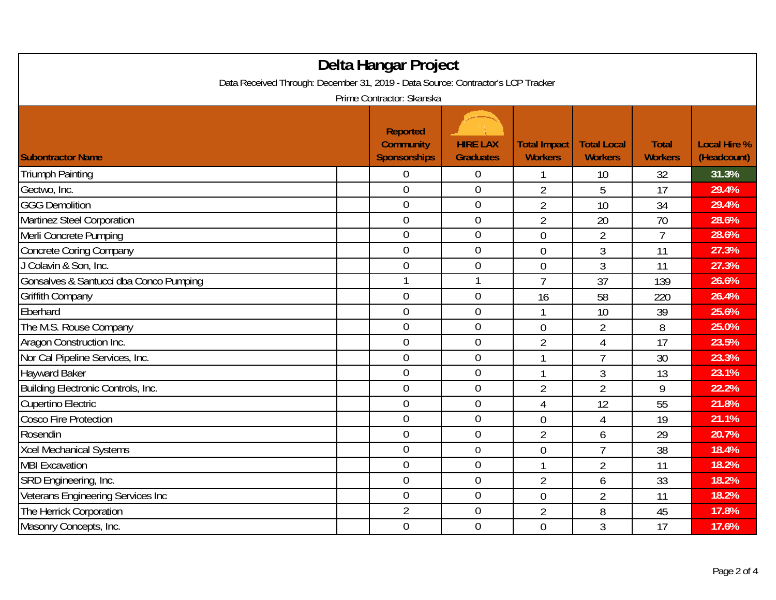| Delta Hangar Project<br>Data Received Through: December 31, 2019 - Data Source: Contractor's LCP Tracker |  |                                                     |                                     |                                       |                                      |                                |                                    |  |  |
|----------------------------------------------------------------------------------------------------------|--|-----------------------------------------------------|-------------------------------------|---------------------------------------|--------------------------------------|--------------------------------|------------------------------------|--|--|
| Prime Contractor: Skanska                                                                                |  |                                                     |                                     |                                       |                                      |                                |                                    |  |  |
| <b>Subontractor Name</b>                                                                                 |  | <b>Reported</b><br><b>Community</b><br>Sponsorships | <b>HIRE LAX</b><br><b>Graduates</b> | <b>Total Impact</b><br><b>Workers</b> | <b>Total Local</b><br><b>Workers</b> | <b>Total</b><br><b>Workers</b> | <b>Local Hire %</b><br>(Headcount) |  |  |
| <b>Triumph Painting</b>                                                                                  |  | 0                                                   | $\boldsymbol{0}$                    |                                       | 10                                   | 32                             | 31.3%                              |  |  |
| Gectwo, Inc.                                                                                             |  | $\overline{0}$                                      | $\mathbf 0$                         | $\overline{2}$                        | 5                                    | 17                             | 29.4%                              |  |  |
| <b>GGG Demolition</b>                                                                                    |  | $\overline{0}$                                      | $\overline{0}$                      | $\overline{2}$                        | 10                                   | 34                             | 29.4%                              |  |  |
| Martinez Steel Corporation                                                                               |  | $\boldsymbol{0}$                                    | $\boldsymbol{0}$                    | $\overline{2}$                        | 20                                   | 70                             | 28.6%                              |  |  |
| Merli Concrete Pumping                                                                                   |  | $\overline{0}$                                      | $\overline{0}$                      | $\overline{0}$                        | $\overline{2}$                       | $\overline{7}$                 | 28.6%                              |  |  |
| <b>Concrete Coring Company</b>                                                                           |  | $\overline{0}$                                      | $\mathbf 0$                         | $\overline{0}$                        | 3                                    | 11                             | 27.3%                              |  |  |
| J Colavin & Son, Inc.                                                                                    |  | $\overline{0}$                                      | $\boldsymbol{0}$                    | $\overline{0}$                        | 3                                    | 11                             | 27.3%                              |  |  |
| Gonsalves & Santucci dba Conco Pumping                                                                   |  | $\mathbf{1}$                                        | $\mathbf{1}$                        | $\overline{1}$                        | 37                                   | 139                            | 26.6%                              |  |  |
| <b>Griffith Company</b>                                                                                  |  | $\mathbf 0$                                         | $\mathbf 0$                         | 16                                    | 58                                   | 220                            | 26.4%                              |  |  |
| Eberhard                                                                                                 |  | $\overline{0}$                                      | $\mathbf 0$                         | 1                                     | 10                                   | 39                             | 25.6%                              |  |  |
| The M.S. Rouse Company                                                                                   |  | $\overline{0}$                                      | $\overline{0}$                      | $\overline{0}$                        | $\overline{2}$                       | 8                              | 25.0%                              |  |  |
| Aragon Construction Inc.                                                                                 |  | $\overline{0}$                                      | $\mathbf 0$                         | $\overline{2}$                        | $\overline{4}$                       | 17                             | 23.5%                              |  |  |
| Nor Cal Pipeline Services, Inc.                                                                          |  | $\overline{0}$                                      | $\overline{0}$                      | 1                                     | $\overline{7}$                       | 30                             | 23.3%                              |  |  |
| <b>Hayward Baker</b>                                                                                     |  | $\overline{0}$                                      | $\overline{0}$                      | 1                                     | 3                                    | 13                             | 23.1%                              |  |  |
| Building Electronic Controls, Inc.                                                                       |  | $\overline{0}$                                      | $\boldsymbol{0}$                    | $\overline{2}$                        | $\overline{2}$                       | 9                              | 22.2%                              |  |  |
| <b>Cupertino Electric</b>                                                                                |  | $\overline{0}$                                      | $\overline{0}$                      | 4                                     | 12                                   | 55                             | 21.8%                              |  |  |
| <b>Cosco Fire Protection</b>                                                                             |  | $\overline{0}$                                      | $\overline{0}$                      | $\overline{0}$                        | $\overline{4}$                       | 19                             | 21.1%                              |  |  |
| Rosendin                                                                                                 |  | $\overline{0}$                                      | $\overline{0}$                      | $\overline{2}$                        | 6                                    | 29                             | 20.7%                              |  |  |
| <b>Xcel Mechanical Systems</b>                                                                           |  | $\overline{0}$                                      | $\boldsymbol{0}$                    | $\overline{0}$                        | $\overline{7}$                       | 38                             | 18.4%                              |  |  |
| <b>MBI Excavation</b>                                                                                    |  | $\overline{0}$                                      | $\overline{0}$                      | 1                                     | $\overline{2}$                       | 11                             | 18.2%                              |  |  |
| SRD Engineering, Inc.                                                                                    |  | $\mathbf 0$                                         | $\boldsymbol{0}$                    | $\overline{2}$                        | 6                                    | 33                             | 18.2%                              |  |  |
| Veterans Engineering Services Inc                                                                        |  | $\overline{0}$                                      | $\overline{0}$                      | $\overline{0}$                        | $\overline{2}$                       | 11                             | 18.2%                              |  |  |
| The Herrick Corporation                                                                                  |  | $\overline{2}$                                      | $\boldsymbol{0}$                    | $\overline{2}$                        | 8                                    | 45                             | 17.8%                              |  |  |
| Masonry Concepts, Inc.                                                                                   |  | $\overline{0}$                                      | $\overline{0}$                      | $\overline{0}$                        | 3                                    | 17                             | 17.6%                              |  |  |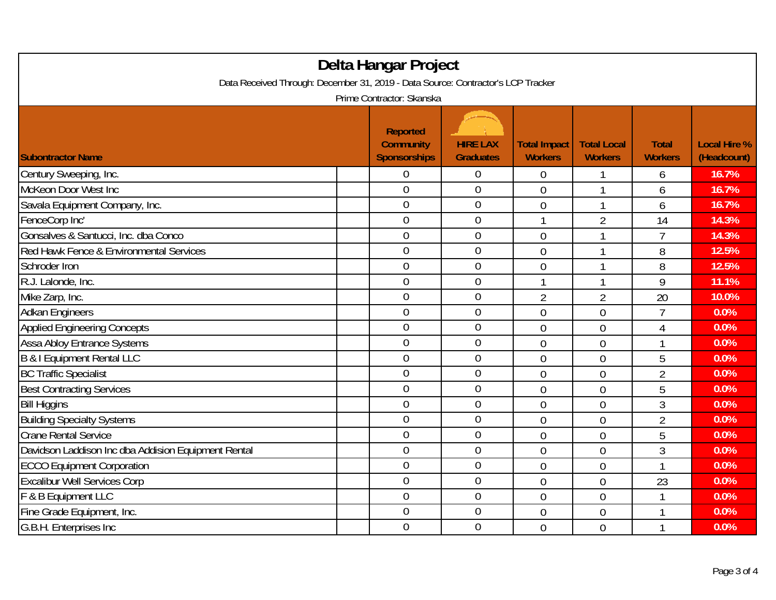| Delta Hangar Project                                                                                          |  |                                                            |                                     |                                       |                                      |                                |                                    |  |
|---------------------------------------------------------------------------------------------------------------|--|------------------------------------------------------------|-------------------------------------|---------------------------------------|--------------------------------------|--------------------------------|------------------------------------|--|
| Data Received Through: December 31, 2019 - Data Source: Contractor's LCP Tracker<br>Prime Contractor: Skanska |  |                                                            |                                     |                                       |                                      |                                |                                    |  |
| <b>Subontractor Name</b>                                                                                      |  | <b>Reported</b><br><b>Community</b><br><b>Sponsorships</b> | <b>HIRE LAX</b><br><b>Graduates</b> | <b>Total Impact</b><br><b>Workers</b> | <b>Total Local</b><br><b>Workers</b> | <b>Total</b><br><b>Workers</b> | <b>Local Hire %</b><br>(Headcount) |  |
| Century Sweeping, Inc.                                                                                        |  | 0                                                          | $\boldsymbol{0}$                    | $\overline{0}$                        |                                      | 6                              | 16.7%                              |  |
| McKeon Door West Inc                                                                                          |  | $\overline{0}$                                             | $\mathbf 0$                         | $\overline{0}$                        | $\mathbf{1}$                         | 6                              | 16.7%                              |  |
| Savala Equipment Company, Inc.                                                                                |  | $\overline{0}$                                             | $\mathbf 0$                         | $\overline{0}$                        | 1                                    | 6                              | 16.7%                              |  |
| FenceCorp Inc'                                                                                                |  | $\overline{0}$                                             | $\mathbf 0$                         | 1                                     | $\overline{2}$                       | 14                             | 14.3%                              |  |
| Gonsalves & Santucci, Inc. dba Conco                                                                          |  | $\overline{0}$                                             | $\mathbf 0$                         | $\overline{0}$                        | 1                                    | $\overline{7}$                 | 14.3%                              |  |
| Red Hawk Fence & Environmental Services                                                                       |  | $\overline{0}$                                             | $\mathbf 0$                         | $\overline{0}$                        | 1                                    | 8                              | 12.5%                              |  |
| Schroder Iron                                                                                                 |  | $\overline{0}$                                             | $\boldsymbol{0}$                    | $\overline{0}$                        | 1                                    | 8                              | 12.5%                              |  |
| R.J. Lalonde, Inc.                                                                                            |  | $\overline{0}$                                             | $\mathbf 0$                         | 1                                     | $\mathbf{1}$                         | 9                              | 11.1%                              |  |
| Mike Zarp, Inc.                                                                                               |  | $\overline{0}$                                             | $\boldsymbol{0}$                    | $\overline{2}$                        | $\overline{2}$                       | 20                             | 10.0%                              |  |
| <b>Adkan Engineers</b>                                                                                        |  | $\mathbf 0$                                                | $\boldsymbol{0}$                    | $\mathbf 0$                           | $\overline{0}$                       | $\overline{7}$                 | 0.0%                               |  |
| <b>Applied Engineering Concepts</b>                                                                           |  | $\overline{0}$                                             | $\mathbf 0$                         | 0                                     | $\overline{0}$                       | 4                              | 0.0%                               |  |
| <b>Assa Abloy Entrance Systems</b>                                                                            |  | $\overline{0}$                                             | $\mathbf 0$                         | 0                                     | $\overline{0}$                       | 1                              | 0.0%                               |  |
| B & I Equipment Rental LLC                                                                                    |  | $\overline{0}$                                             | $\mathbf 0$                         | $\overline{0}$                        | $\overline{0}$                       | 5                              | 0.0%                               |  |
| <b>BC Traffic Specialist</b>                                                                                  |  | $\overline{0}$                                             | $\mathbf 0$                         | $\overline{0}$                        | $\overline{0}$                       | $\overline{2}$                 | 0.0%                               |  |
| <b>Best Contracting Services</b>                                                                              |  | $\overline{0}$                                             | $\boldsymbol{0}$                    | $\overline{0}$                        | $\overline{0}$                       | 5                              | 0.0%                               |  |
| <b>Bill Higgins</b>                                                                                           |  | $\mathbf 0$                                                | $\mathbf 0$                         | $\overline{0}$                        | $\overline{0}$                       | 3                              | 0.0%                               |  |
| <b>Building Specialty Systems</b>                                                                             |  | $\overline{0}$                                             | $\overline{0}$                      | $\overline{0}$                        | $\overline{0}$                       | $\overline{2}$                 | 0.0%                               |  |
| <b>Crane Rental Service</b>                                                                                   |  | 0                                                          | $\mathbf 0$                         | $\overline{0}$                        | $\overline{0}$                       | 5                              | 0.0%                               |  |
| Davidson Laddison Inc dba Addision Equipment Rental                                                           |  | $\overline{0}$                                             | $\boldsymbol{0}$                    | $\overline{0}$                        | $\overline{0}$                       | $\overline{3}$                 | 0.0%                               |  |
| <b>ECCO Equipment Corporation</b>                                                                             |  | $\overline{0}$                                             | $\boldsymbol{0}$                    | $\overline{0}$                        | $\overline{0}$                       | 1                              | 0.0%                               |  |
| <b>Excalibur Well Services Corp</b>                                                                           |  | $\overline{0}$                                             | $\boldsymbol{0}$                    | $\overline{0}$                        | $\overline{0}$                       | 23                             | 0.0%                               |  |
| F & B Equipment LLC                                                                                           |  | $\overline{0}$                                             | $\mathbf 0$                         | 0                                     | $\overline{0}$                       | 1                              | 0.0%                               |  |
| Fine Grade Equipment, Inc.                                                                                    |  | $\mathbf 0$                                                | $\boldsymbol{0}$                    | $\mathbf 0$                           | $\overline{0}$                       | 1                              | 0.0%                               |  |
| G.B.H. Enterprises Inc                                                                                        |  | $\overline{0}$                                             | $\mathbf 0$                         | $\overline{0}$                        | $\overline{0}$                       | 1                              | 0.0%                               |  |